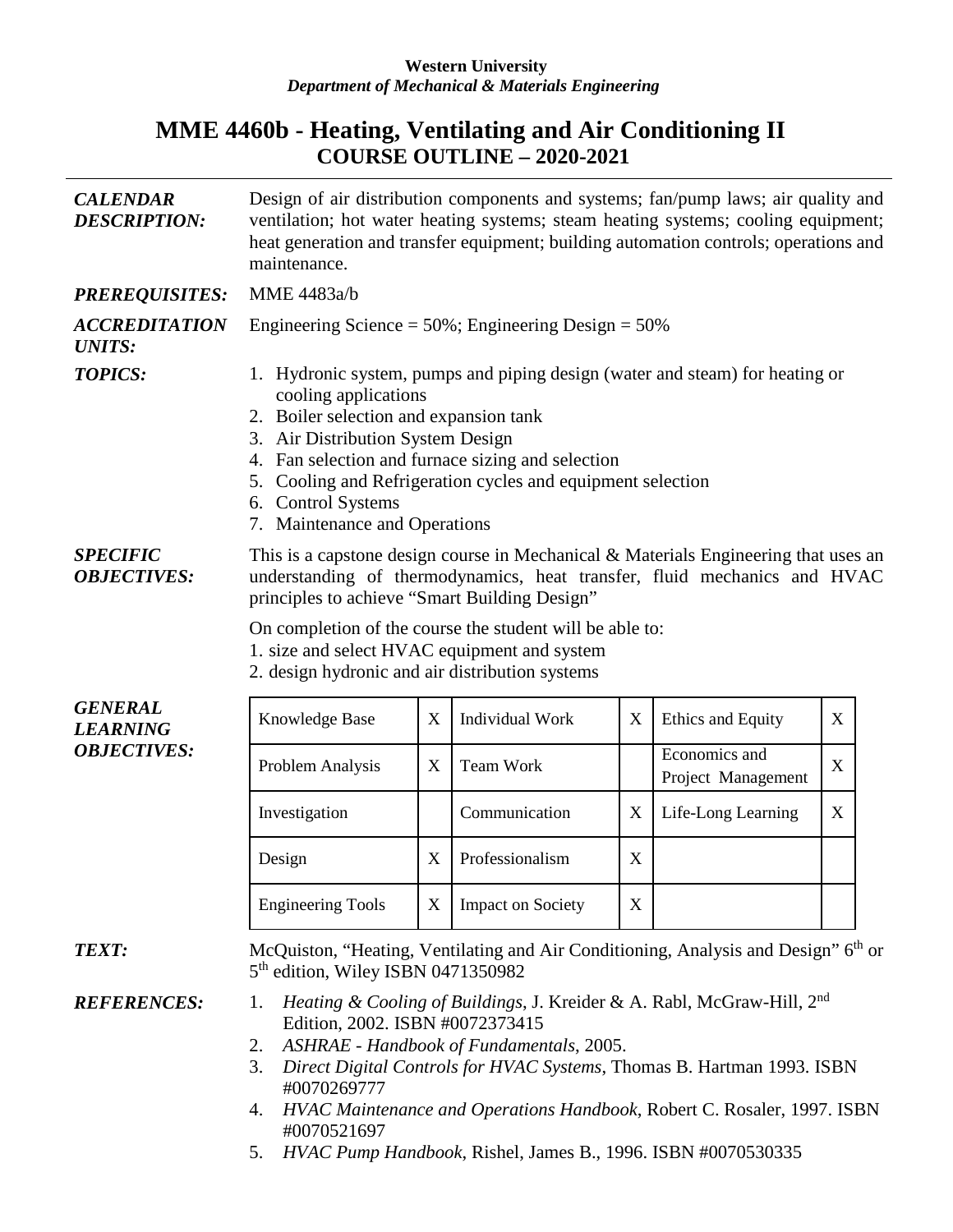## **Western University** *Department of Mechanical & Materials Engineering*

## **MME 4460b - Heating, Ventilating and Air Conditioning II COURSE OUTLINE – 2020-2021**

| <b>CALENDAR</b><br><b>DESCRIPTION:</b>                  | Design of air distribution components and systems; fan/pump laws; air quality and<br>ventilation; hot water heating systems; steam heating systems; cooling equipment;<br>heat generation and transfer equipment; building automation controls; operations and<br>maintenance.                                                                                               |   |                          |   |                                                                                                |   |  |  |
|---------------------------------------------------------|------------------------------------------------------------------------------------------------------------------------------------------------------------------------------------------------------------------------------------------------------------------------------------------------------------------------------------------------------------------------------|---|--------------------------|---|------------------------------------------------------------------------------------------------|---|--|--|
| <b>PREREQUISITES:</b>                                   | MME 4483a/b                                                                                                                                                                                                                                                                                                                                                                  |   |                          |   |                                                                                                |   |  |  |
| <i><b>ACCREDITATION</b></i><br><b>UNITS:</b>            | Engineering Science = $50\%$ ; Engineering Design = $50\%$                                                                                                                                                                                                                                                                                                                   |   |                          |   |                                                                                                |   |  |  |
| <b>TOPICS:</b>                                          | 1. Hydronic system, pumps and piping design (water and steam) for heating or<br>cooling applications<br>2. Boiler selection and expansion tank<br>3. Air Distribution System Design<br>4. Fan selection and furnace sizing and selection<br>5. Cooling and Refrigeration cycles and equipment selection<br>6. Control Systems<br>7. Maintenance and Operations               |   |                          |   |                                                                                                |   |  |  |
| <b>SPECIFIC</b><br><b>OBJECTIVES:</b>                   | This is a capstone design course in Mechanical & Materials Engineering that uses an<br>understanding of thermodynamics, heat transfer, fluid mechanics and HVAC<br>principles to achieve "Smart Building Design"                                                                                                                                                             |   |                          |   |                                                                                                |   |  |  |
|                                                         | On completion of the course the student will be able to:<br>1. size and select HVAC equipment and system<br>2. design hydronic and air distribution systems                                                                                                                                                                                                                  |   |                          |   |                                                                                                |   |  |  |
| <b>GENERAL</b><br><b>LEARNING</b><br><b>OBJECTIVES:</b> | Knowledge Base                                                                                                                                                                                                                                                                                                                                                               | X | Individual Work          | X | Ethics and Equity                                                                              | X |  |  |
|                                                         | Problem Analysis                                                                                                                                                                                                                                                                                                                                                             | X | Team Work                |   | Economics and<br>Project Management                                                            | X |  |  |
|                                                         | Investigation                                                                                                                                                                                                                                                                                                                                                                |   | Communication            | X | Life-Long Learning                                                                             | X |  |  |
|                                                         | Design                                                                                                                                                                                                                                                                                                                                                                       | X | Professionalism          | X |                                                                                                |   |  |  |
|                                                         | <b>Engineering Tools</b>                                                                                                                                                                                                                                                                                                                                                     | X | <b>Impact on Society</b> | X |                                                                                                |   |  |  |
| <b>TEXT:</b>                                            | 5 <sup>th</sup> edition, Wiley ISBN 0471350982                                                                                                                                                                                                                                                                                                                               |   |                          |   | McQuiston, "Heating, Ventilating and Air Conditioning, Analysis and Design" 6 <sup>th</sup> or |   |  |  |
| <b>REFERENCES:</b>                                      | Heating & Cooling of Buildings, J. Kreider & A. Rabl, McGraw-Hill, 2 <sup>nd</sup><br>1.<br>Edition, 2002. ISBN #0072373415<br>ASHRAE - Handbook of Fundamentals, 2005.<br>2.<br>Direct Digital Controls for HVAC Systems, Thomas B. Hartman 1993. ISBN<br>3.<br>#0070269777<br>HVAC Maintenance and Operations Handbook, Robert C. Rosaler, 1997. ISBN<br>4.<br>#0070521697 |   |                          |   |                                                                                                |   |  |  |

5. *HVAC Pump Handbook*, Rishel, James B., 1996. ISBN #0070530335